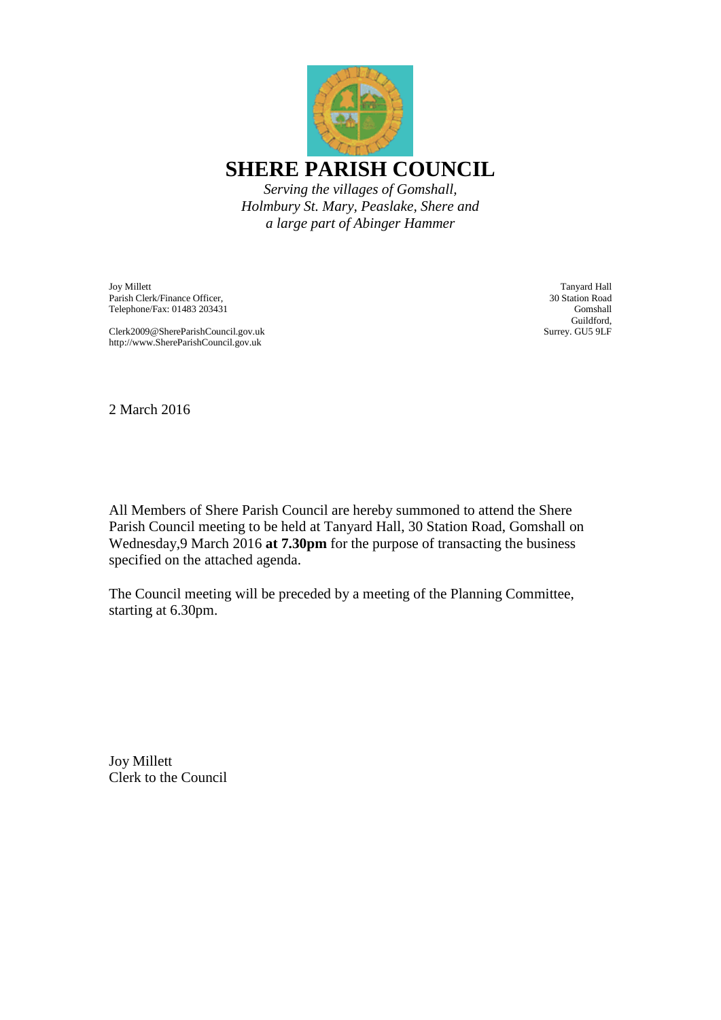

*Holmbury St. Mary, Peaslake, Shere and a large part of Abinger Hammer*

Joy Millett Parish Clerk/Finance Officer, Telephone/Fax: 01483 203431

Clerk2009@ShereParishCouncil.gov.uk http://www.ShereParishCouncil.gov.uk

Tanyard Hall 30 Station Road Gomshall Guildford, Surrey. GU5 9LF

2 March 2016

All Members of Shere Parish Council are hereby summoned to attend the Shere Parish Council meeting to be held at Tanyard Hall, 30 Station Road, Gomshall on Wednesday,9 March 2016 **at 7.30pm** for the purpose of transacting the business specified on the attached agenda.

The Council meeting will be preceded by a meeting of the Planning Committee, starting at 6.30pm.

Joy Millett Clerk to the Council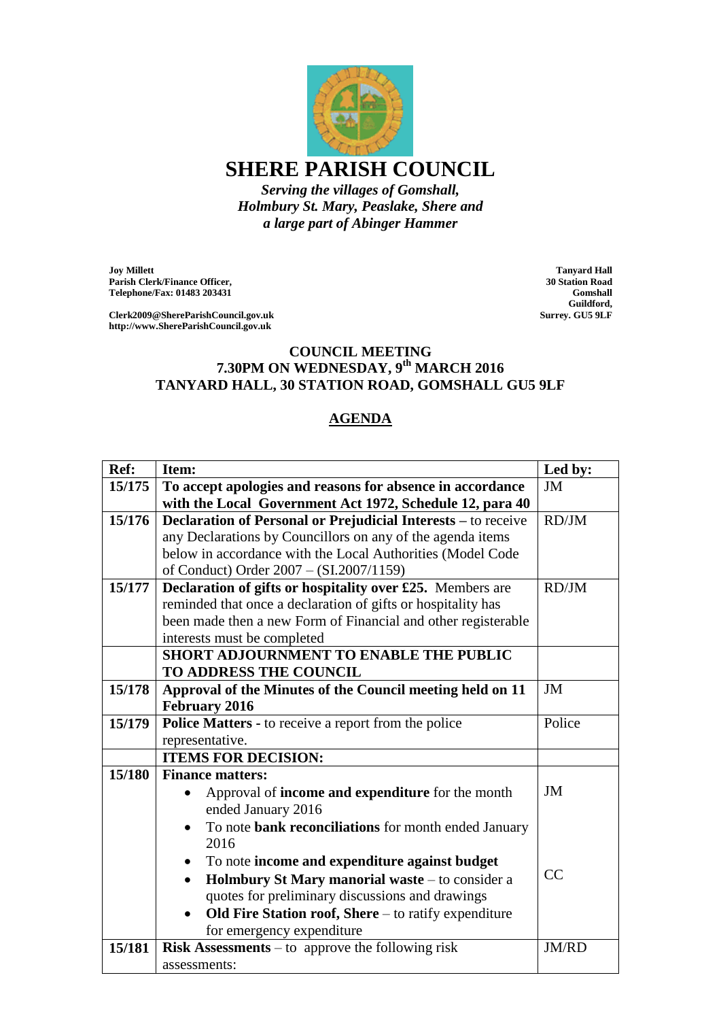

*Holmbury St. Mary, Peaslake, Shere and a large part of Abinger Hammer*

**Joy Millett Parish Clerk/Finance Officer, Telephone/Fax: 01483 203431**

**Clerk2009@ShereParishCouncil.gov.uk http://www.ShereParishCouncil.gov.uk**

**Tanyard Hall 30 Station Road Gomshall Guildford, Surrey. GU5 9LF**

## **COUNCIL MEETING 7.30PM ON WEDNESDAY, 9th MARCH 2016 TANYARD HALL, 30 STATION ROAD, GOMSHALL GU5 9LF**

## **AGENDA**

| Ref:   | Item:                                                             | Led by: |
|--------|-------------------------------------------------------------------|---------|
| 15/175 | To accept apologies and reasons for absence in accordance         | JM      |
|        | with the Local Government Act 1972, Schedule 12, para 40          |         |
| 15/176 | Declaration of Personal or Prejudicial Interests - to receive     | RD/JM   |
|        | any Declarations by Councillors on any of the agenda items        |         |
|        | below in accordance with the Local Authorities (Model Code        |         |
|        | of Conduct) Order 2007 - (SI.2007/1159)                           |         |
| 15/177 | Declaration of gifts or hospitality over £25. Members are         | RD/JM   |
|        | reminded that once a declaration of gifts or hospitality has      |         |
|        | been made then a new Form of Financial and other registerable     |         |
|        | interests must be completed                                       |         |
|        | <b>SHORT ADJOURNMENT TO ENABLE THE PUBLIC</b>                     |         |
|        | TO ADDRESS THE COUNCIL                                            |         |
| 15/178 | Approval of the Minutes of the Council meeting held on 11         | JM      |
|        | <b>February 2016</b>                                              |         |
| 15/179 | Police Matters - to receive a report from the police              | Police  |
|        | representative.                                                   |         |
|        | <b>ITEMS FOR DECISION:</b>                                        |         |
| 15/180 | <b>Finance matters:</b>                                           |         |
|        | Approval of income and expenditure for the month                  | JM      |
|        | ended January 2016                                                |         |
|        | To note bank reconciliations for month ended January<br>2016      |         |
|        | To note income and expenditure against budget<br>٠                |         |
|        | Holmbury St Mary manorial waste - to consider a<br>$\bullet$      | CC      |
|        | quotes for preliminary discussions and drawings                   |         |
|        | Old Fire Station roof, Shere - to ratify expenditure<br>$\bullet$ |         |
|        | for emergency expenditure                                         |         |
| 15/181 | <b>Risk Assessments</b> – to approve the following risk           | JM/RD   |
|        | assessments:                                                      |         |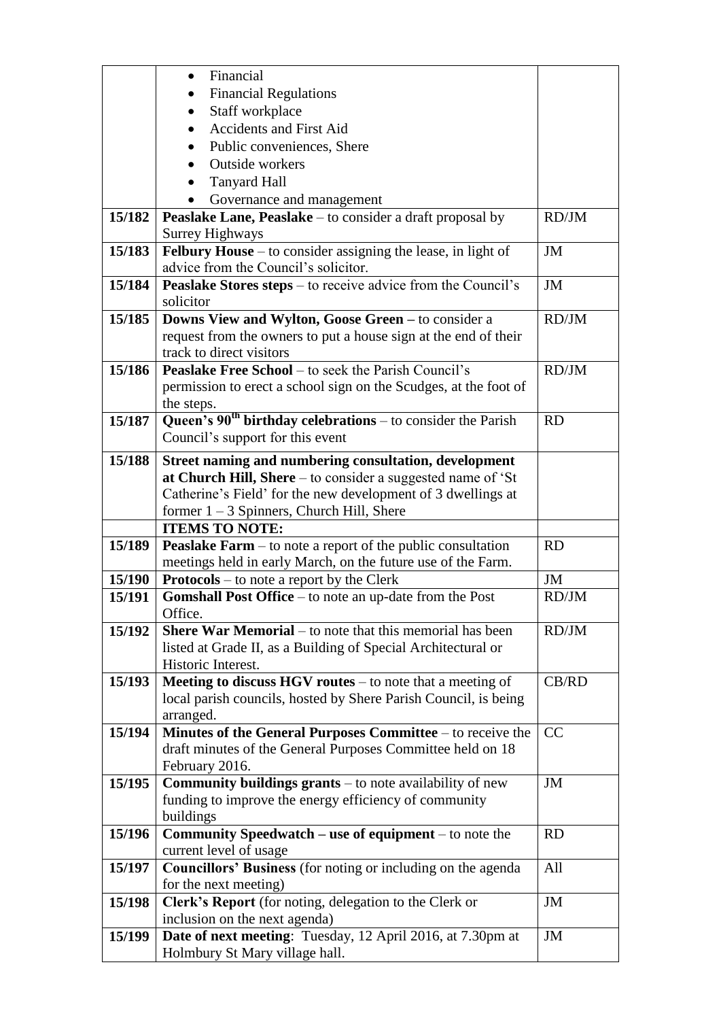|        | Financial<br>$\bullet$                                               |               |
|--------|----------------------------------------------------------------------|---------------|
|        | <b>Financial Regulations</b>                                         |               |
|        | Staff workplace                                                      |               |
|        | <b>Accidents and First Aid</b><br>$\bullet$                          |               |
|        | Public conveniences, Shere<br>$\bullet$                              |               |
|        | Outside workers                                                      |               |
|        |                                                                      |               |
|        | <b>Tanyard Hall</b>                                                  |               |
|        | Governance and management<br>$\bullet$                               |               |
| 15/182 | Peaslake Lane, Peaslake – to consider a draft proposal by            | RD/JM         |
|        | <b>Surrey Highways</b>                                               |               |
| 15/183 | Felbury House - to consider assigning the lease, in light of         | $\mathbf{JM}$ |
|        | advice from the Council's solicitor.                                 |               |
| 15/184 | Peaslake Stores steps – to receive advice from the Council's         | JM            |
|        | solicitor                                                            |               |
| 15/185 | Downs View and Wylton, Goose Green - to consider a                   | RD/JM         |
|        | request from the owners to put a house sign at the end of their      |               |
|        | track to direct visitors                                             |               |
| 15/186 | <b>Peaslake Free School</b> – to seek the Parish Council's           | RD/JM         |
|        | permission to erect a school sign on the Scudges, at the foot of     |               |
|        | the steps.                                                           |               |
| 15/187 | Queen's $90th$ birthday celebrations – to consider the Parish        | <b>RD</b>     |
|        | Council's support for this event                                     |               |
| 15/188 | Street naming and numbering consultation, development                |               |
|        | at Church Hill, Shere - to consider a suggested name of 'St          |               |
|        | Catherine's Field' for the new development of 3 dwellings at         |               |
|        | former $1 - 3$ Spinners, Church Hill, Shere                          |               |
|        | <b>ITEMS TO NOTE:</b>                                                |               |
| 15/189 | <b>Peaslake Farm</b> $-$ to note a report of the public consultation | <b>RD</b>     |
|        | meetings held in early March, on the future use of the Farm.         |               |
| 15/190 | <b>Protocols</b> – to note a report by the Clerk                     | JM            |
| 15/191 | <b>Gomshall Post Office</b> – to note an up-date from the Post       | RD/JM         |
|        | Office.                                                              |               |
| 15/192 | <b>Shere War Memorial</b> – to note that this memorial has been      | RD/JM         |
|        | listed at Grade II, as a Building of Special Architectural or        |               |
|        | Historic Interest.                                                   |               |
| 15/193 | <b>Meeting to discuss HGV routes</b> $-$ to note that a meeting of   | CB/RD         |
|        | local parish councils, hosted by Shere Parish Council, is being      |               |
|        | arranged.                                                            |               |
| 15/194 | Minutes of the General Purposes Committee – to receive the           | CC            |
|        | draft minutes of the General Purposes Committee held on 18           |               |
|        | February 2016.                                                       |               |
| 15/195 | <b>Community buildings grants</b> – to note availability of new      | JM            |
|        | funding to improve the energy efficiency of community                |               |
|        | buildings                                                            |               |
| 15/196 | <b>Community Speedwatch – use of equipment – to note the</b>         | <b>RD</b>     |
|        | current level of usage                                               |               |
| 15/197 | <b>Councillors' Business</b> (for noting or including on the agenda  | All           |
|        | for the next meeting)                                                |               |
| 15/198 | Clerk's Report (for noting, delegation to the Clerk or               | JM            |
|        | inclusion on the next agenda)                                        |               |
| 15/199 | <b>Date of next meeting:</b> Tuesday, 12 April 2016, at 7.30pm at    | JM            |
|        | Holmbury St Mary village hall.                                       |               |
|        |                                                                      |               |